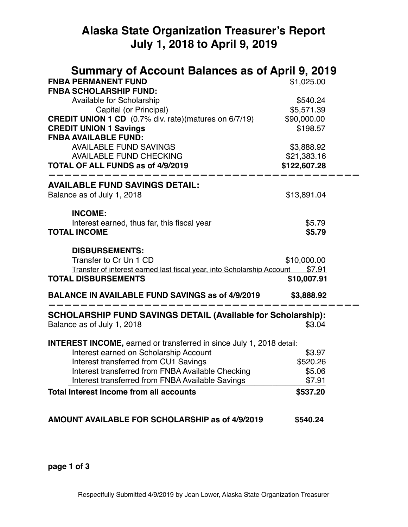# **Alaska State Organization Treasurer's Report July 1, 2018 to April 9, 2019**

| <b>Summary of Account Balances as of April 9, 2019</b><br><b>FNBA PERMANENT FUND</b><br><b>FNBA SCHOLARSHIP FUND:</b> | \$1,025.00                |
|-----------------------------------------------------------------------------------------------------------------------|---------------------------|
| Available for Scholarship                                                                                             | \$540.24                  |
| Capital (or Principal)                                                                                                | \$5,571.39                |
| <b>CREDIT UNION 1 CD</b> (0.7% div. rate)(matures on 6/7/19)                                                          | \$90,000.00               |
| <b>CREDIT UNION 1 Savings</b>                                                                                         | \$198.57                  |
| <b>FNBA AVAILABLE FUND:</b><br><b>AVAILABLE FUND SAVINGS</b>                                                          |                           |
| <b>AVAILABLE FUND CHECKING</b>                                                                                        | \$3,888.92<br>\$21,383.16 |
| <b>TOTAL OF ALL FUNDS as of 4/9/2019</b>                                                                              | \$122,607.28              |
|                                                                                                                       |                           |
| <b>AVAILABLE FUND SAVINGS DETAIL:</b>                                                                                 |                           |
| Balance as of July 1, 2018                                                                                            | \$13,891.04               |
| <b>INCOME:</b>                                                                                                        |                           |
| Interest earned, thus far, this fiscal year                                                                           | \$5.79                    |
| <b>TOTAL INCOME</b>                                                                                                   | \$5.79                    |
|                                                                                                                       |                           |
| <b>DISBURSEMENTS:</b>                                                                                                 |                           |
| Transfer to Cr Un 1 CD                                                                                                | \$10,000.00               |
| Transfer of interest earned last fiscal year, into Scholarship Account \$7.91<br><b>TOTAL DISBURSEMENTS</b>           |                           |
|                                                                                                                       | \$10,007.91               |
| <b>BALANCE IN AVAILABLE FUND SAVINGS as of 4/9/2019</b>                                                               | \$3,888.92                |
| <b>SCHOLARSHIP FUND SAVINGS DETAIL (Available for Scholarship):</b>                                                   |                           |
| Balance as of July 1, 2018                                                                                            | \$3.04                    |
| <b>INTEREST INCOME, earned or transferred in since July 1, 2018 detail:</b>                                           |                           |
| Interest earned on Scholarship Account                                                                                | \$3.97                    |
| Interest transferred from CU1 Savings                                                                                 | \$520.26                  |
| Interest transferred from FNBA Available Checking                                                                     | \$5.06                    |
| Interest transferred from FNBA Available Savings                                                                      | \$7.91                    |
| <b>Total Interest income from all accounts</b>                                                                        | \$537.20                  |
|                                                                                                                       |                           |
| AMOUNT AVAILABLE FOR SCHOLARSHIP as of 4/9/2019                                                                       | \$540.24                  |

**page 1 of 3**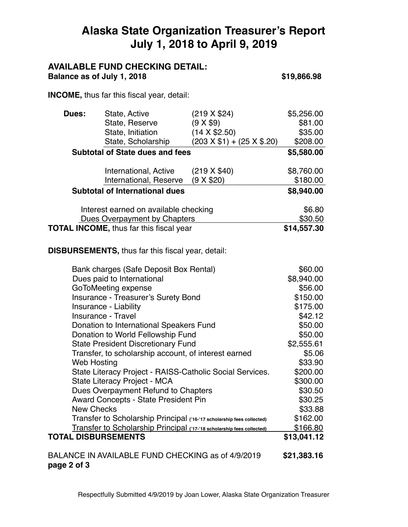## **Alaska State Organization Treasurer's Report July 1, 2018 to April 9, 2019**

## **AVAILABLE FUND CHECKING DETAIL:**

**Balance as of July 1, 2018 S19,866.98** 

**INCOME,** thus far this fiscal year, detail:

| Dues:                                          | State, Active          | (219 X \$24)              | \$5,256.00 |
|------------------------------------------------|------------------------|---------------------------|------------|
|                                                | State, Reserve         | (9 X \$9)                 | \$81.00    |
|                                                | State, Initiation      | $(14 \times $2.50)$       | \$35.00    |
|                                                | State, Scholarship     | $(203 X $1) + (25 X $20)$ | \$208.00   |
| <b>Subtotal of State dues and fees</b>         |                        | \$5,580.00                |            |
|                                                | International, Active  | $(219 \times $40)$        | \$8,760.00 |
|                                                | International, Reserve | (9 X \$20)                | \$180.00   |
| <b>Subtotal of International dues</b>          |                        | \$8,940.00                |            |
| Interest earned on available checking          |                        | \$6.80                    |            |
| Dues Overpayment by Chapters                   |                        | \$30.50                   |            |
| <b>TOTAL INCOME, thus far this fiscal year</b> |                        | \$14,557.30               |            |

**DISBURSEMENTS,** thus far this fiscal year, detail:

| Bank charges (Safe Deposit Box Rental)                                 | \$60.00     |
|------------------------------------------------------------------------|-------------|
| Dues paid to International                                             | \$8,940.00  |
| GoToMeeting expense                                                    | \$56.00     |
| <b>Insurance - Treasurer's Surety Bond</b>                             | \$150.00    |
| <b>Insurance - Liability</b>                                           | \$175.00    |
| <b>Insurance - Travel</b>                                              | \$42.12     |
| Donation to International Speakers Fund                                | \$50.00     |
| Donation to World Fellowship Fund                                      | \$50.00     |
| <b>State President Discretionary Fund</b>                              | \$2,555.61  |
| Transfer, to scholarship account, of interest earned                   | \$5.06      |
| <b>Web Hosting</b>                                                     | \$33.90     |
| State Literacy Project - RAISS-Catholic Social Services.               | \$200.00    |
| State Literacy Project - MCA                                           | \$300.00    |
| Dues Overpayment Refund to Chapters                                    | \$30.50     |
| <b>Award Concepts - State President Pin</b>                            | \$30.25     |
| <b>New Checks</b>                                                      | \$33.88     |
| Transfer to Scholarship Principal ('16-'17 scholarship fees collected) | \$162.00    |
| Transfer to Scholarship Principal ('17-'18 scholarship fees collected) | \$166.80    |
| <b>TOTAL DISBURSEMENTS</b>                                             | \$13,041.12 |
| BALANCE IN AVAILABLE FUND CHECKING as of 4/9/2019<br>page 2 of 3       | \$21,383.16 |